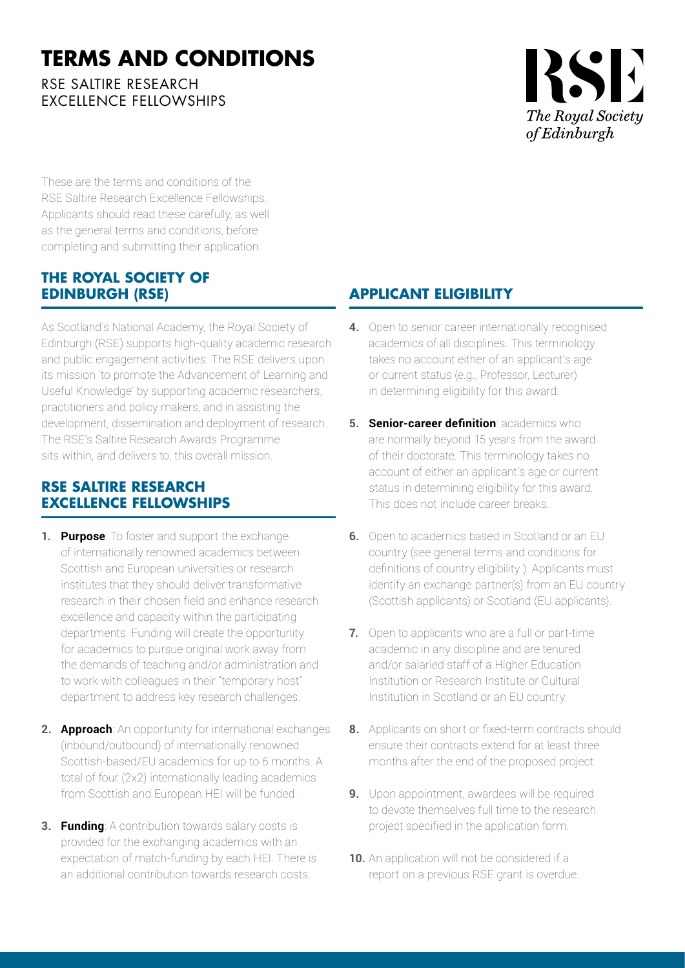## **TERMS AND CONDITIONS**

RSE SAITIRE RESEARCH EXCELLENCE FELLOWSHIPS

# RSE The Royal Society *of Edinburgh*

These are the terms and conditions of the RSE Saltire Research Excellence Fellowships. Applicants should read these carefully, as well as the general terms and conditions, before completing and submitting their application.

#### **THE ROYAL SOCIETY OF EDINBURGH (RSE)**

As Scotland's National Academy, the Royal Society of Edinburgh (RSE) supports high-quality academic research and public engagement activities. The RSE delivers upon its mission 'to promote the Advancement of Learning and Useful Knowledge' by supporting academic researchers, practitioners and policy makers, and in assisting the development, dissemination and deployment of research. The RSE's Saltire Research Awards Programme sits within, and delivers to, this overall mission.

### **RSE SALTIRE RESEARCH EXCELLENCE FELLOWSHIPS**

- **1. Purpose**: To foster and support the exchange of internationally renowned academics between Scottish and European universities or research institutes that they should deliver transformative research in their chosen field and enhance research excellence and capacity within the participating departments. Funding will create the opportunity for academics to pursue original work away from the demands of teaching and/or administration and to work with colleagues in their "temporary host" department to address key research challenges.
- **2. Approach**: An opportunity for international exchanges (inbound/outbound) of internationally renowned Scottish-based/EU academics for up to 6 months. A total of four (2x2) internationally leading academics from Scottish and European HEI will be funded.
- **3. Funding**: A contribution towards salary costs is provided for the exchanging academics with an expectation of match-funding by each HEI. There is an additional contribution towards research costs.

## **APPLICANT ELIGIBILITY**

- **4.** Open to senior career internationally recognised academics of all disciplines. This terminology takes no account either of an applicant's age or current status (e.g., Professor, Lecturer) in determining eligibility for this award.
- **5. Senior-career definition**: academics who are normally beyond 15 years from the award of their doctorate. This terminology takes no account of either an applicant's age or current status in determining eligibility for this award. This does not include career breaks.
- **6.** Open to academics based in Scotland or an EU country (see general terms and conditions for definitions of country eligibility ). Applicants must identify an exchange partner(s) from an EU country (Scottish applicants) or Scotland (EU applicants).
- **7.** Open to applicants who are a full or part-time academic in any discipline and are tenured and/or salaried staff of a Higher Education Institution or Research Institute or Cultural Institution in Scotland or an EU country.
- **8.** Applicants on short or fixed-term contracts should ensure their contracts extend for at least three months after the end of the proposed project.
- **9.** Upon appointment, awardees will be required to devote themselves full time to the research project specified in the application form.
- **10.** An application will not be considered if a report on a previous RSE grant is overdue.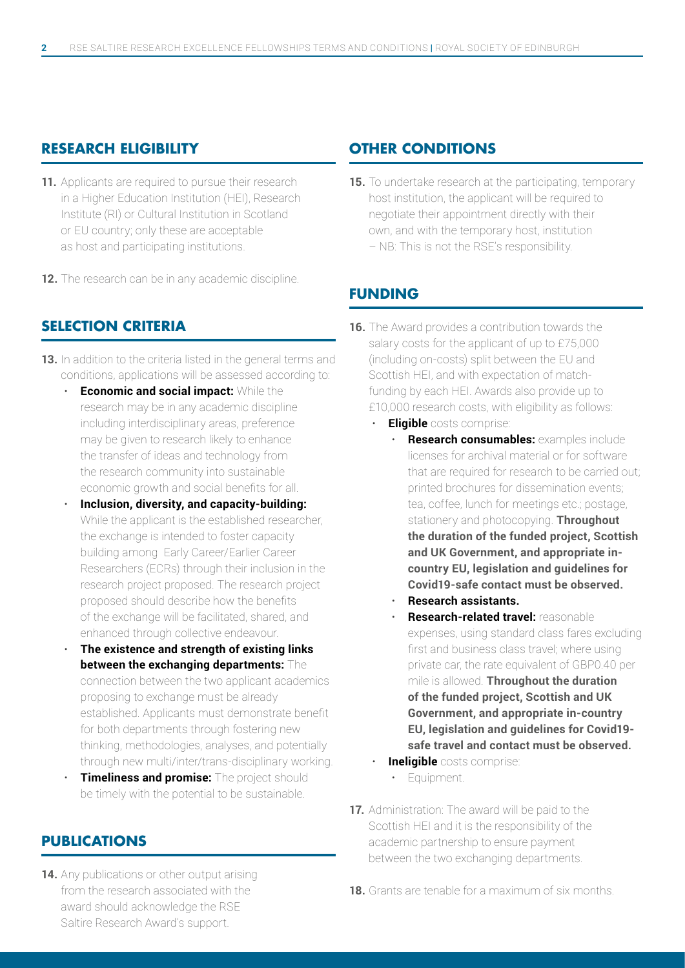#### **RESEARCH ELIGIBILITY**

- 11. Applicants are required to pursue their research in a Higher Education Institution (HEI), Research Institute (RI) or Cultural Institution in Scotland or EU country; only these are acceptable as host and participating institutions.
- **12.** The research can be in any academic discipline.

#### **SELECTION CRITERIA**

- **13.** In addition to the criteria listed in the general terms and conditions, applications will be assessed according to:
	- **Economic and social impact:** While the research may be in any academic discipline including interdisciplinary areas, preference may be given to research likely to enhance the transfer of ideas and technology from the research community into sustainable economic growth and social benefits for all.
	- **Inclusion, diversity, and capacity-building:** While the applicant is the established researcher, the exchange is intended to foster capacity building among Early Career/Earlier Career Researchers (ECRs) through their inclusion in the research project proposed. The research project proposed should describe how the benefits of the exchange will be facilitated, shared, and enhanced through collective endeavour.
	- **The existence and strength of existing links between the exchanging departments:** The connection between the two applicant academics proposing to exchange must be already established. Applicants must demonstrate benefit for both departments through fostering new thinking, methodologies, analyses, and potentially through new multi/inter/trans-disciplinary working.
	- **Timeliness and promise:** The project should be timely with the potential to be sustainable.

#### **PUBLICATIONS**

**14.** Any publications or other output arising from the research associated with the award should acknowledge the RSE Saltire Research Award's support.

#### **OTHER CONDITIONS**

**15.** To undertake research at the participating, temporary host institution, the applicant will be required to negotiate their appointment directly with their own, and with the temporary host, institution – NB: This is not the RSE's responsibility.

#### **FUNDING**

- **16.** The Award provides a contribution towards the salary costs for the applicant of up to £75,000 (including on-costs) split between the EU and Scottish HEI, and with expectation of matchfunding by each HEI. Awards also provide up to £10,000 research costs, with eligibility as follows:
	- **Eligible** costs comprise:
		- **Research consumables:** examples include licenses for archival material or for software that are required for research to be carried out; printed brochures for dissemination events; tea, coffee, lunch for meetings etc.; postage, stationery and photocopying. **Throughout the duration of the funded project, Scottish and UK Government, and appropriate incountry EU, legislation and guidelines for Covid19-safe contact must be observed.**
		- **Research assistants.**
		- **Research-related travel:** reasonable expenses, using standard class fares excluding first and business class travel; where using private car, the rate equivalent of GBP0.40 per mile is allowed. **Throughout the duration of the funded project, Scottish and UK Government, and appropriate in-country EU, legislation and guidelines for Covid19 safe travel and contact must be observed.**
	- **Ineligible** costs comprise:
		- Equipment.
- **17.** Administration: The award will be paid to the Scottish HEI and it is the responsibility of the academic partnership to ensure payment between the two exchanging departments.
- **18.** Grants are tenable for a maximum of six months.